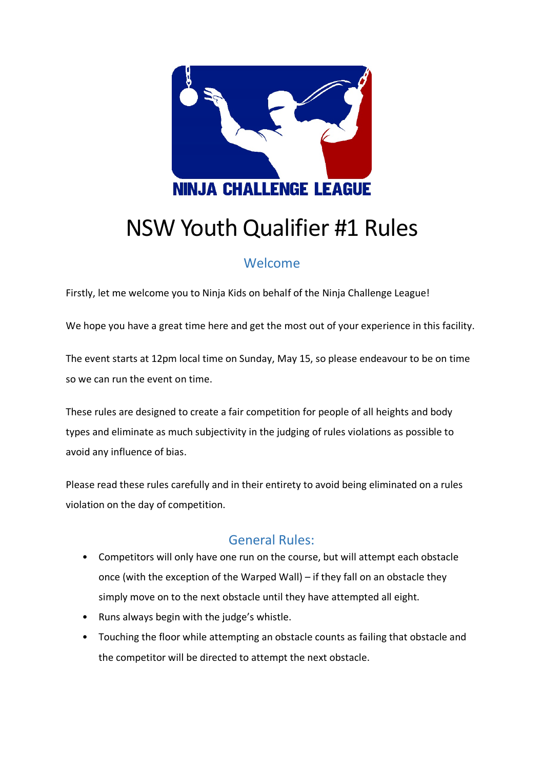

# NSW Youth Qualifier #1 Rules

# Welcome

Firstly, let me welcome you to Ninja Kids on behalf of the Ninja Challenge League!

We hope you have a great time here and get the most out of your experience in this facility.

The event starts at 12pm local time on Sunday, May 15, so please endeavour to be on time so we can run the event on time.

These rules are designed to create a fair competition for people of all heights and body types and eliminate as much subjectivity in the judging of rules violations as possible to avoid any influence of bias.

Please read these rules carefully and in their entirety to avoid being eliminated on a rules violation on the day of competition.

# General Rules:

- Competitors will only have one run on the course, but will attempt each obstacle once (with the exception of the Warped Wall) – if they fall on an obstacle they simply move on to the next obstacle until they have attempted all eight.
- Runs always begin with the judge's whistle.
- Touching the floor while attempting an obstacle counts as failing that obstacle and the competitor will be directed to attempt the next obstacle.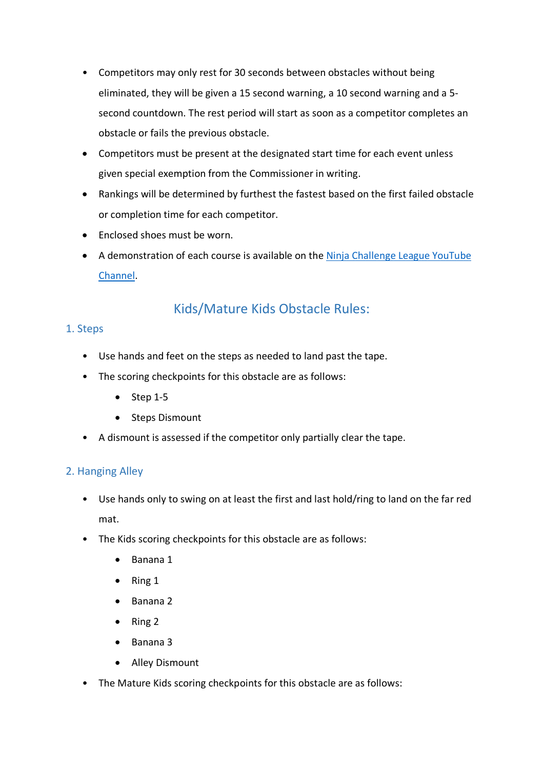- Competitors may only rest for 30 seconds between obstacles without being eliminated, they will be given a 15 second warning, a 10 second warning and a 5 second countdown. The rest period will start as soon as a competitor completes an obstacle or fails the previous obstacle.
- Competitors must be present at the designated start time for each event unless given special exemption from the Commissioner in writing.
- Rankings will be determined by furthest the fastest based on the first failed obstacle or completion time for each competitor.
- Enclosed shoes must be worn.
- A demonstration of each course is available on the [Ninja Challenge League YouTube](https://www.youtube.com/c/NinjaChallengeLeague/)  [Channel.](https://www.youtube.com/c/NinjaChallengeLeague/)

# Kids/Mature Kids Obstacle Rules:

# 1. Steps

- Use hands and feet on the steps as needed to land past the tape.
- The scoring checkpoints for this obstacle are as follows:
	- $\bullet$  Step 1-5
	- Steps Dismount
- A dismount is assessed if the competitor only partially clear the tape.

# 2. Hanging Alley

- Use hands only to swing on at least the first and last hold/ring to land on the far red mat.
- The Kids scoring checkpoints for this obstacle are as follows:
	- Banana 1
	- Ring 1
	- Banana 2
	- Ring 2
	- Banana 3
	- Alley Dismount
- The Mature Kids scoring checkpoints for this obstacle are as follows: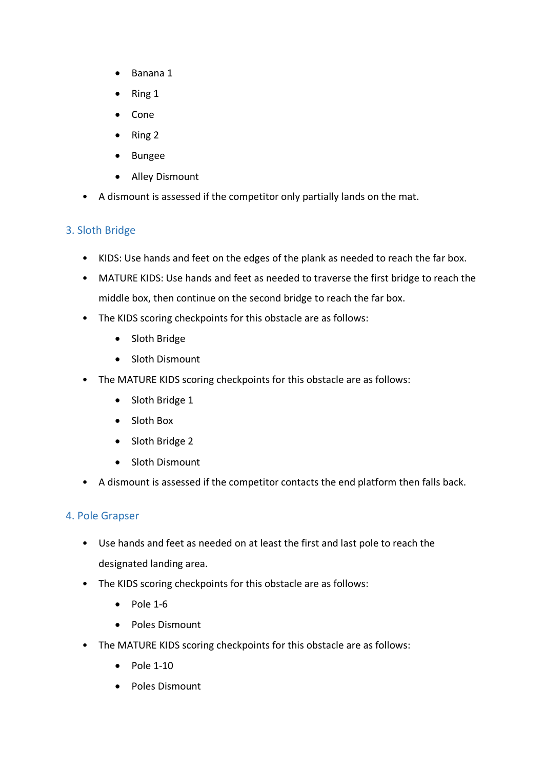- Banana 1
- Ring 1
- Cone
- Ring 2
- Bungee
- Alley Dismount
- A dismount is assessed if the competitor only partially lands on the mat.

# 3. Sloth Bridge

- KIDS: Use hands and feet on the edges of the plank as needed to reach the far box.
- MATURE KIDS: Use hands and feet as needed to traverse the first bridge to reach the middle box, then continue on the second bridge to reach the far box.
- The KIDS scoring checkpoints for this obstacle are as follows:
	- Sloth Bridge
	- Sloth Dismount
- The MATURE KIDS scoring checkpoints for this obstacle are as follows:
	- Sloth Bridge 1
	- Sloth Box
	- Sloth Bridge 2
	- Sloth Dismount
- A dismount is assessed if the competitor contacts the end platform then falls back.

# 4. Pole Grapser

- Use hands and feet as needed on at least the first and last pole to reach the designated landing area.
- The KIDS scoring checkpoints for this obstacle are as follows:
	- $\bullet$  Pole 1-6
	- Poles Dismount
- The MATURE KIDS scoring checkpoints for this obstacle are as follows:
	- Pole 1-10
	- Poles Dismount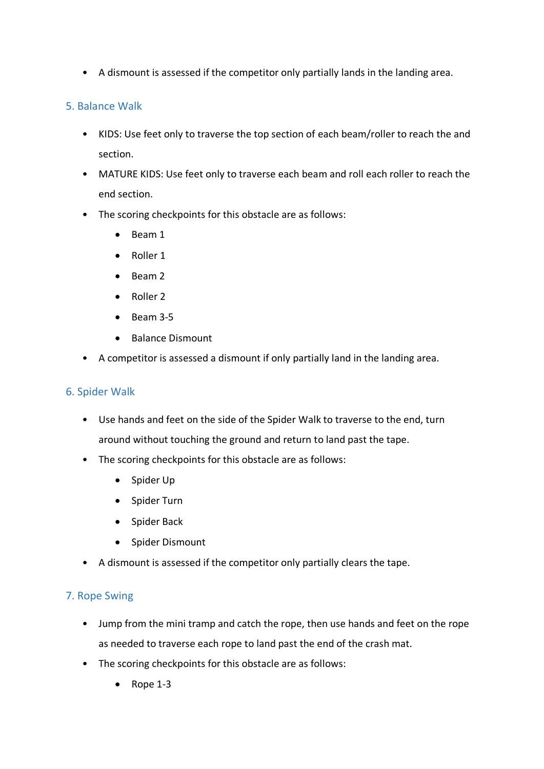• A dismount is assessed if the competitor only partially lands in the landing area.

#### 5. Balance Walk

- KIDS: Use feet only to traverse the top section of each beam/roller to reach the and section.
- MATURE KIDS: Use feet only to traverse each beam and roll each roller to reach the end section.
- The scoring checkpoints for this obstacle are as follows:
	- Beam 1
	- Roller 1
	- Beam 2
	- Roller 2
	- Beam 3-5
	- Balance Dismount
- A competitor is assessed a dismount if only partially land in the landing area.

#### 6. Spider Walk

- Use hands and feet on the side of the Spider Walk to traverse to the end, turn around without touching the ground and return to land past the tape.
- The scoring checkpoints for this obstacle are as follows:
	- Spider Up
	- Spider Turn
	- Spider Back
	- Spider Dismount
- A dismount is assessed if the competitor only partially clears the tape.

#### 7. Rope Swing

- Jump from the mini tramp and catch the rope, then use hands and feet on the rope as needed to traverse each rope to land past the end of the crash mat.
- The scoring checkpoints for this obstacle are as follows:
	- Rope 1-3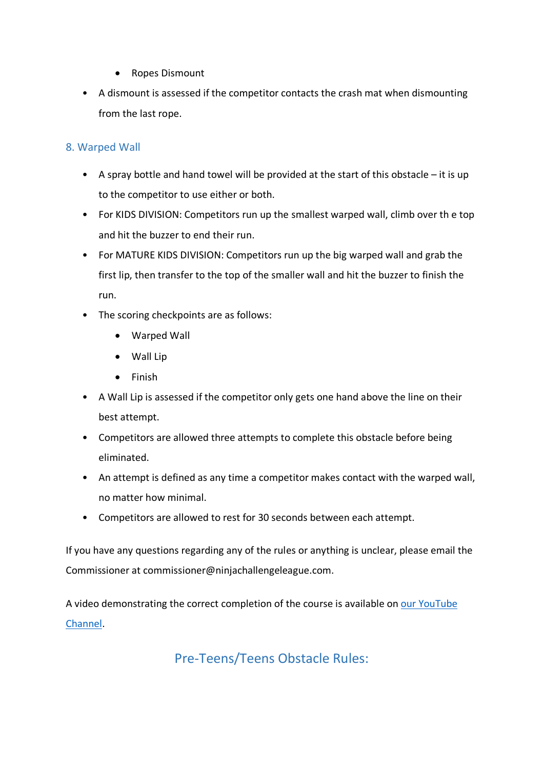- Ropes Dismount
- A dismount is assessed if the competitor contacts the crash mat when dismounting from the last rope.

### 8. Warped Wall

- A spray bottle and hand towel will be provided at the start of this obstacle it is up to the competitor to use either or both.
- For KIDS DIVISION: Competitors run up the smallest warped wall, climb over th e top and hit the buzzer to end their run.
- For MATURE KIDS DIVISION: Competitors run up the big warped wall and grab the first lip, then transfer to the top of the smaller wall and hit the buzzer to finish the run.
- The scoring checkpoints are as follows:
	- Warped Wall
	- Wall Lip
	- Finish
- A Wall Lip is assessed if the competitor only gets one hand above the line on their best attempt.
- Competitors are allowed three attempts to complete this obstacle before being eliminated.
- An attempt is defined as any time a competitor makes contact with the warped wall, no matter how minimal.
- Competitors are allowed to rest for 30 seconds between each attempt.

If you have any questions regarding any of the rules or anything is unclear, please email the Commissioner at commissioner@ninjachallengeleague.com.

A video demonstrating the correct completion of the course is available on our [YouTube](https://www.youtube.com/playlist?list=PL6socjfKDLcq8F6C5D4G7txDf2cca-ATy)  [Channel.](https://www.youtube.com/playlist?list=PL6socjfKDLcq8F6C5D4G7txDf2cca-ATy)

Pre-Teens/Teens Obstacle Rules: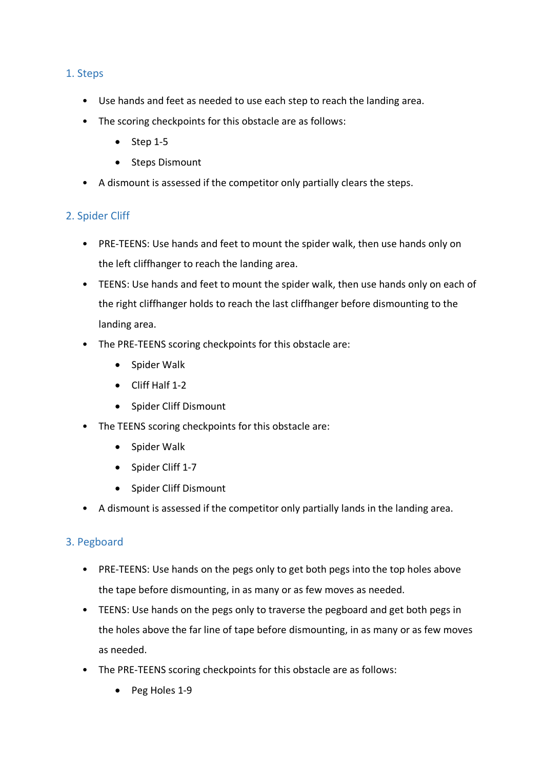#### 1. Steps

- Use hands and feet as needed to use each step to reach the landing area.
- The scoring checkpoints for this obstacle are as follows:
	- Step 1-5
	- Steps Dismount
- A dismount is assessed if the competitor only partially clears the steps.

#### 2. Spider Cliff

- PRE-TEENS: Use hands and feet to mount the spider walk, then use hands only on the left cliffhanger to reach the landing area.
- TEENS: Use hands and feet to mount the spider walk, then use hands only on each of the right cliffhanger holds to reach the last cliffhanger before dismounting to the landing area.
- The PRE-TEENS scoring checkpoints for this obstacle are:
	- Spider Walk
	- Cliff Half 1-2
	- Spider Cliff Dismount
- The TEENS scoring checkpoints for this obstacle are:
	- Spider Walk
	- Spider Cliff 1-7
	- Spider Cliff Dismount
- A dismount is assessed if the competitor only partially lands in the landing area.

# 3. Pegboard

- PRE-TEENS: Use hands on the pegs only to get both pegs into the top holes above the tape before dismounting, in as many or as few moves as needed.
- TEENS: Use hands on the pegs only to traverse the pegboard and get both pegs in the holes above the far line of tape before dismounting, in as many or as few moves as needed.
- The PRE-TEENS scoring checkpoints for this obstacle are as follows:
	- Peg Holes 1-9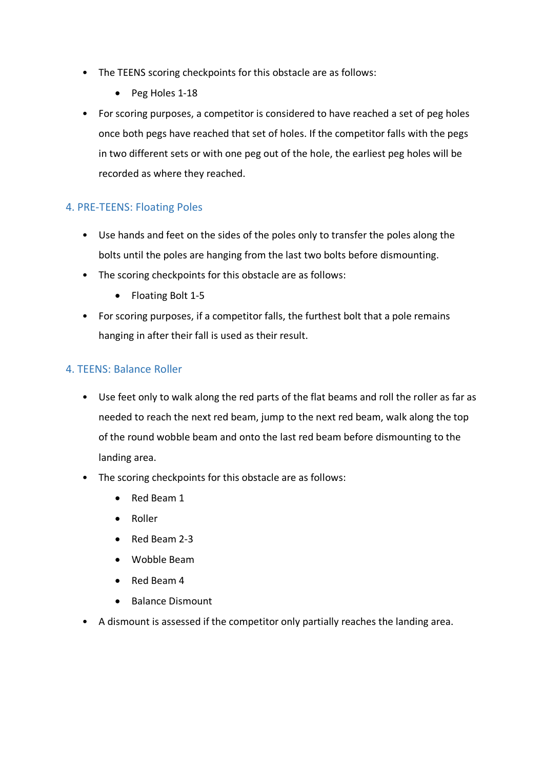- The TEENS scoring checkpoints for this obstacle are as follows:
	- Peg Holes 1-18
- For scoring purposes, a competitor is considered to have reached a set of peg holes once both pegs have reached that set of holes. If the competitor falls with the pegs in two different sets or with one peg out of the hole, the earliest peg holes will be recorded as where they reached.

#### 4. PRE-TEENS: Floating Poles

- Use hands and feet on the sides of the poles only to transfer the poles along the bolts until the poles are hanging from the last two bolts before dismounting.
- The scoring checkpoints for this obstacle are as follows:
	- Floating Bolt 1-5
- For scoring purposes, if a competitor falls, the furthest bolt that a pole remains hanging in after their fall is used as their result.

#### 4. TEENS: Balance Roller

- Use feet only to walk along the red parts of the flat beams and roll the roller as far as needed to reach the next red beam, jump to the next red beam, walk along the top of the round wobble beam and onto the last red beam before dismounting to the landing area.
- The scoring checkpoints for this obstacle are as follows:
	- Red Beam 1
	- Roller
	- Red Beam 2-3
	- Wobble Beam
	- Red Beam 4
	- Balance Dismount
- A dismount is assessed if the competitor only partially reaches the landing area.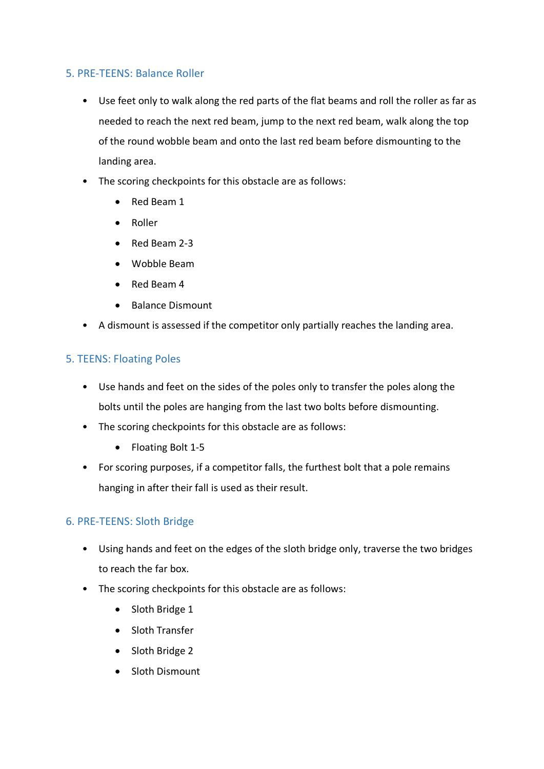#### 5. PRE-TEENS: Balance Roller

- Use feet only to walk along the red parts of the flat beams and roll the roller as far as needed to reach the next red beam, jump to the next red beam, walk along the top of the round wobble beam and onto the last red beam before dismounting to the landing area.
- The scoring checkpoints for this obstacle are as follows:
	- Red Beam 1
	- Roller
	- Red Beam 2-3
	- Wobble Beam
	- Red Beam 4
	- Balance Dismount
- A dismount is assessed if the competitor only partially reaches the landing area.

# 5. TEENS: Floating Poles

- Use hands and feet on the sides of the poles only to transfer the poles along the bolts until the poles are hanging from the last two bolts before dismounting.
- The scoring checkpoints for this obstacle are as follows:
	- Floating Bolt 1-5
- For scoring purposes, if a competitor falls, the furthest bolt that a pole remains hanging in after their fall is used as their result.

# 6. PRE-TEENS: Sloth Bridge

- Using hands and feet on the edges of the sloth bridge only, traverse the two bridges to reach the far box.
- The scoring checkpoints for this obstacle are as follows:
	- Sloth Bridge 1
	- Sloth Transfer
	- Sloth Bridge 2
	- Sloth Dismount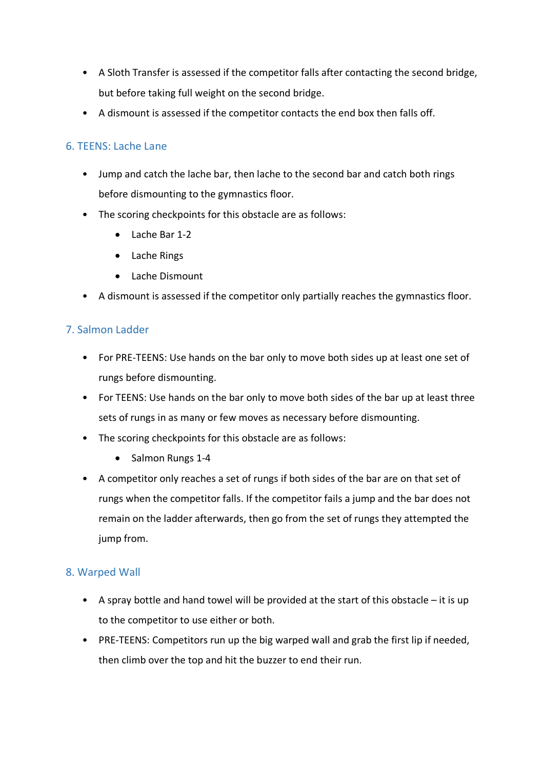- A Sloth Transfer is assessed if the competitor falls after contacting the second bridge, but before taking full weight on the second bridge.
- A dismount is assessed if the competitor contacts the end box then falls off.

# 6. TEENS: Lache Lane

- Jump and catch the lache bar, then lache to the second bar and catch both rings before dismounting to the gymnastics floor.
- The scoring checkpoints for this obstacle are as follows:
	- Lache Bar 1-2
	- Lache Rings
	- Lache Dismount
- A dismount is assessed if the competitor only partially reaches the gymnastics floor.

# 7. Salmon Ladder

- For PRE-TEENS: Use hands on the bar only to move both sides up at least one set of rungs before dismounting.
- For TEENS: Use hands on the bar only to move both sides of the bar up at least three sets of rungs in as many or few moves as necessary before dismounting.
- The scoring checkpoints for this obstacle are as follows:
	- Salmon Rungs 1-4
- A competitor only reaches a set of rungs if both sides of the bar are on that set of rungs when the competitor falls. If the competitor fails a jump and the bar does not remain on the ladder afterwards, then go from the set of rungs they attempted the jump from.

# 8. Warped Wall

- A spray bottle and hand towel will be provided at the start of this obstacle it is up to the competitor to use either or both.
- PRE-TEENS: Competitors run up the big warped wall and grab the first lip if needed, then climb over the top and hit the buzzer to end their run.